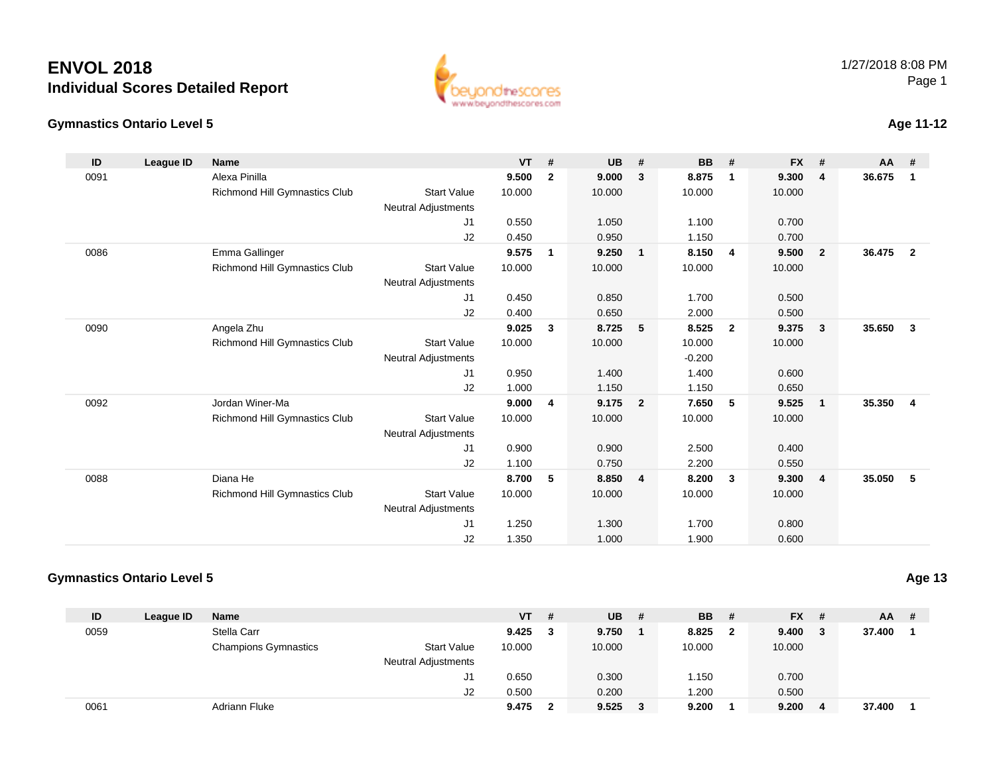#### **Gymnastics Ontario Level 5**

| beyondthescores         |
|-------------------------|
| www.beyondthescores.com |
|                         |

ä

### **Age 11-12**

| ID   | League ID | <b>Name</b>                   |                            | <b>VT</b> | #            | <b>UB</b> | #              | <b>BB</b> | #              | <b>FX</b> | #                       | AA     | #                       |
|------|-----------|-------------------------------|----------------------------|-----------|--------------|-----------|----------------|-----------|----------------|-----------|-------------------------|--------|-------------------------|
| 0091 |           | Alexa Pinilla                 |                            | 9.500     | $\mathbf{2}$ | 9.000     | 3              | 8.875     | $\overline{1}$ | 9.300     | $\overline{\mathbf{4}}$ | 36.675 | -1                      |
|      |           | Richmond Hill Gymnastics Club | <b>Start Value</b>         | 10.000    |              | 10.000    |                | 10.000    |                | 10.000    |                         |        |                         |
|      |           |                               | <b>Neutral Adjustments</b> |           |              |           |                |           |                |           |                         |        |                         |
|      |           |                               | J1                         | 0.550     |              | 1.050     |                | 1.100     |                | 0.700     |                         |        |                         |
|      |           |                               | J2                         | 0.450     |              | 0.950     |                | 1.150     |                | 0.700     |                         |        |                         |
| 0086 |           | Emma Gallinger                |                            | 9.575     | 1            | 9.250     | $\mathbf{1}$   | 8.150     | $\overline{4}$ | 9.500     | $\overline{\mathbf{2}}$ | 36.475 | $\overline{2}$          |
|      |           | Richmond Hill Gymnastics Club | <b>Start Value</b>         | 10.000    |              | 10.000    |                | 10.000    |                | 10.000    |                         |        |                         |
|      |           |                               | <b>Neutral Adjustments</b> |           |              |           |                |           |                |           |                         |        |                         |
|      |           |                               | J1                         | 0.450     |              | 0.850     |                | 1.700     |                | 0.500     |                         |        |                         |
|      |           |                               | J2                         | 0.400     |              | 0.650     |                | 2.000     |                | 0.500     |                         |        |                         |
| 0090 |           | Angela Zhu                    |                            | 9.025     | 3            | 8.725     | 5              | 8.525     | $\overline{2}$ | 9.375     | $\overline{\mathbf{3}}$ | 35.650 | $\mathbf{3}$            |
|      |           | Richmond Hill Gymnastics Club | <b>Start Value</b>         | 10.000    |              | 10.000    |                | 10.000    |                | 10.000    |                         |        |                         |
|      |           |                               | <b>Neutral Adjustments</b> |           |              |           |                | $-0.200$  |                |           |                         |        |                         |
|      |           |                               | J1                         | 0.950     |              | 1.400     |                | 1.400     |                | 0.600     |                         |        |                         |
|      |           |                               | J2                         | 1.000     |              | 1.150     |                | 1.150     |                | 0.650     |                         |        |                         |
| 0092 |           | Jordan Winer-Ma               |                            | 9.000     | 4            | 9.175     | $\overline{2}$ | 7.650     | 5              | 9.525     | $\overline{1}$          | 35.350 | $\overline{\mathbf{4}}$ |
|      |           | Richmond Hill Gymnastics Club | <b>Start Value</b>         | 10.000    |              | 10.000    |                | 10.000    |                | 10.000    |                         |        |                         |
|      |           |                               | <b>Neutral Adjustments</b> |           |              |           |                |           |                |           |                         |        |                         |
|      |           |                               | J1                         | 0.900     |              | 0.900     |                | 2.500     |                | 0.400     |                         |        |                         |
|      |           |                               | J2                         | 1.100     |              | 0.750     |                | 2.200     |                | 0.550     |                         |        |                         |
| 0088 |           | Diana He                      |                            | 8.700     | 5            | 8.850     | 4              | 8.200     | $\mathbf{3}$   | 9.300     | $\overline{4}$          | 35.050 | - 5                     |
|      |           | Richmond Hill Gymnastics Club | <b>Start Value</b>         | 10.000    |              | 10.000    |                | 10.000    |                | 10.000    |                         |        |                         |
|      |           |                               | <b>Neutral Adjustments</b> |           |              |           |                |           |                |           |                         |        |                         |
|      |           |                               | J1                         | 1.250     |              | 1.300     |                | 1.700     |                | 0.800     |                         |        |                         |
|      |           |                               | J2                         | 1.350     |              | 1.000     |                | 1.900     |                | 0.600     |                         |        |                         |

#### **Gymnastics Ontario Level 5**

**ID League ID Name VT # UB # BB # FX # AA #** 0059 Stella Carr **9.425 <sup>3</sup> 9.750 <sup>1</sup> 8.825 <sup>2</sup> 9.400 <sup>3</sup> 37.400 <sup>1</sup>** Champions Gymnastics Start Valuee 10.000 10.000 10.000 10.000 Neutral Adjustments J1 0.650 0.300 1.150 0.700 J2 0.500 0.200 1.200 0.500 0061Adriann Fluke **9.475 <sup>2</sup> 9.525 <sup>3</sup> 9.200 <sup>1</sup> 9.200 <sup>4</sup> 37.400 <sup>1</sup>**

### **Age 13**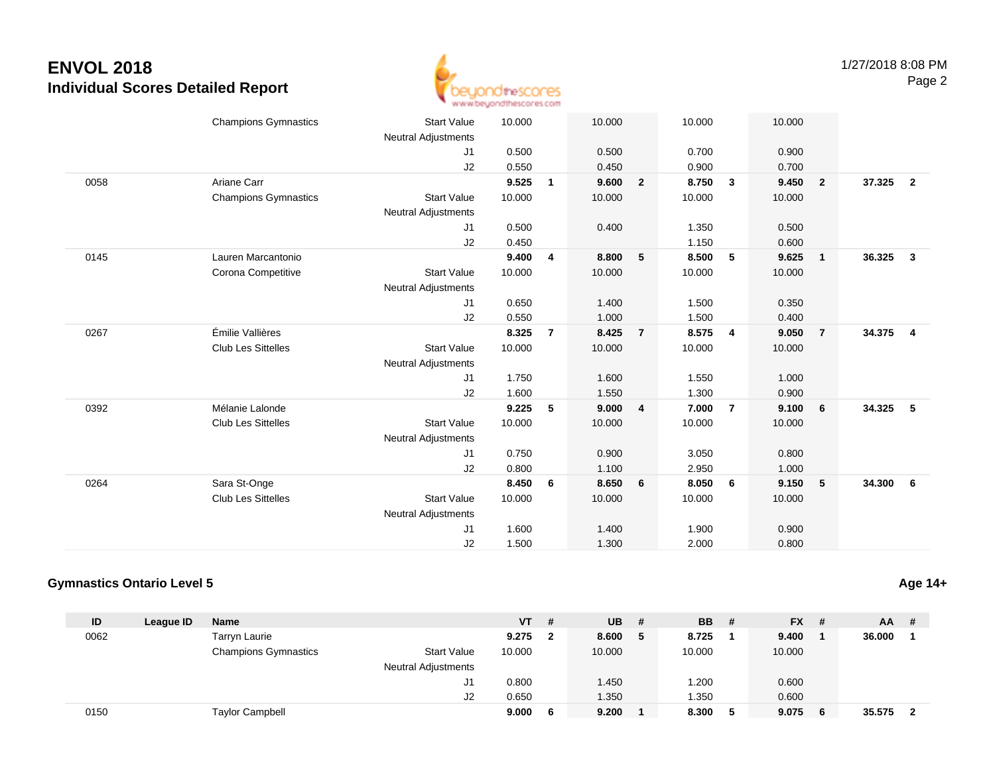

|      | <b>Champions Gymnastics</b> | <b>Start Value</b><br><b>Neutral Adjustments</b> | 10.000 |                | 10.000 |                | 10.000 |                | 10.000 |                         |        |                         |
|------|-----------------------------|--------------------------------------------------|--------|----------------|--------|----------------|--------|----------------|--------|-------------------------|--------|-------------------------|
|      |                             | J1                                               | 0.500  |                | 0.500  |                | 0.700  |                | 0.900  |                         |        |                         |
|      |                             | J2                                               | 0.550  |                | 0.450  |                | 0.900  |                | 0.700  |                         |        |                         |
| 0058 | Ariane Carr                 |                                                  | 9.525  | $\mathbf{1}$   | 9.600  | $\overline{2}$ | 8.750  | $\mathbf{3}$   | 9.450  | $\overline{\mathbf{2}}$ | 37.325 | $\overline{\mathbf{2}}$ |
|      | <b>Champions Gymnastics</b> | <b>Start Value</b>                               | 10.000 |                | 10.000 |                | 10.000 |                | 10.000 |                         |        |                         |
|      |                             | <b>Neutral Adjustments</b>                       |        |                |        |                |        |                |        |                         |        |                         |
|      |                             | J1                                               | 0.500  |                | 0.400  |                | 1.350  |                | 0.500  |                         |        |                         |
|      |                             | J2                                               | 0.450  |                |        |                | 1.150  |                | 0.600  |                         |        |                         |
| 0145 | Lauren Marcantonio          |                                                  | 9.400  | 4              | 8.800  | 5              | 8.500  | 5              | 9.625  | $\overline{1}$          | 36.325 | $\mathbf{3}$            |
|      | Corona Competitive          | <b>Start Value</b>                               | 10.000 |                | 10.000 |                | 10.000 |                | 10.000 |                         |        |                         |
|      |                             | Neutral Adjustments                              |        |                |        |                |        |                |        |                         |        |                         |
|      |                             | J1                                               | 0.650  |                | 1.400  |                | 1.500  |                | 0.350  |                         |        |                         |
|      |                             | J2                                               | 0.550  |                | 1.000  |                | 1.500  |                | 0.400  |                         |        |                         |
| 0267 | Émilie Vallières            |                                                  | 8.325  | $\overline{7}$ | 8.425  | $\overline{7}$ | 8.575  | $\overline{4}$ | 9.050  | $\overline{7}$          | 34.375 | $\overline{\mathbf{4}}$ |
|      | Club Les Sittelles          | <b>Start Value</b>                               | 10.000 |                | 10.000 |                | 10.000 |                | 10.000 |                         |        |                         |
|      |                             | Neutral Adjustments                              |        |                |        |                |        |                |        |                         |        |                         |
|      |                             | J1                                               | 1.750  |                | 1.600  |                | 1.550  |                | 1.000  |                         |        |                         |
|      |                             | J2                                               | 1.600  |                | 1.550  |                | 1.300  |                | 0.900  |                         |        |                         |
| 0392 | Mélanie Lalonde             |                                                  | 9.225  | 5              | 9.000  | 4              | 7.000  | $\overline{7}$ | 9.100  | - 6                     | 34.325 | 5                       |
|      | <b>Club Les Sittelles</b>   | <b>Start Value</b>                               | 10.000 |                | 10.000 |                | 10.000 |                | 10.000 |                         |        |                         |
|      |                             | Neutral Adjustments                              |        |                |        |                |        |                |        |                         |        |                         |
|      |                             | J1                                               | 0.750  |                | 0.900  |                | 3.050  |                | 0.800  |                         |        |                         |
|      |                             | J2                                               | 0.800  |                | 1.100  |                | 2.950  |                | 1.000  |                         |        |                         |
| 0264 | Sara St-Onge                |                                                  | 8.450  | 6              | 8.650  | 6              | 8.050  | 6              | 9.150  | 5                       | 34.300 | 6                       |
|      | <b>Club Les Sittelles</b>   | <b>Start Value</b>                               | 10.000 |                | 10.000 |                | 10.000 |                | 10.000 |                         |        |                         |
|      |                             | <b>Neutral Adjustments</b>                       |        |                |        |                |        |                |        |                         |        |                         |
|      |                             | J1                                               | 1.600  |                | 1.400  |                | 1.900  |                | 0.900  |                         |        |                         |
|      |                             | J2                                               | 1.500  |                | 1.300  |                | 2.000  |                | 0.800  |                         |        |                         |

#### **Gymnastics Ontario Level 5**

| ID   | League ID | <b>Name</b>                 |                            | VT     | # | <b>UB</b> | # | <b>BB</b> | # | $FX$ # |   | $AA$ #   |  |
|------|-----------|-----------------------------|----------------------------|--------|---|-----------|---|-----------|---|--------|---|----------|--|
| 0062 |           | Tarryn Laurie               |                            | 9.275  |   | 8.600     | 5 | 8.725     |   | 9.400  |   | 36.000   |  |
|      |           | <b>Champions Gymnastics</b> | <b>Start Value</b>         | 10.000 |   | 10.000    |   | 10.000    |   | 10.000 |   |          |  |
|      |           |                             | <b>Neutral Adjustments</b> |        |   |           |   |           |   |        |   |          |  |
|      |           |                             | J1                         | 0.800  |   | 1.450     |   | 1.200     |   | 0.600  |   |          |  |
|      |           |                             | J2                         | 0.650  |   | 1.350     |   | 1.350     |   | 0.600  |   |          |  |
| 0150 |           | <b>Taylor Campbell</b>      |                            | 9.000  |   | 9.200     |   | 8.300     |   | 9.075  | 6 | 35.575 2 |  |

**Age 14+**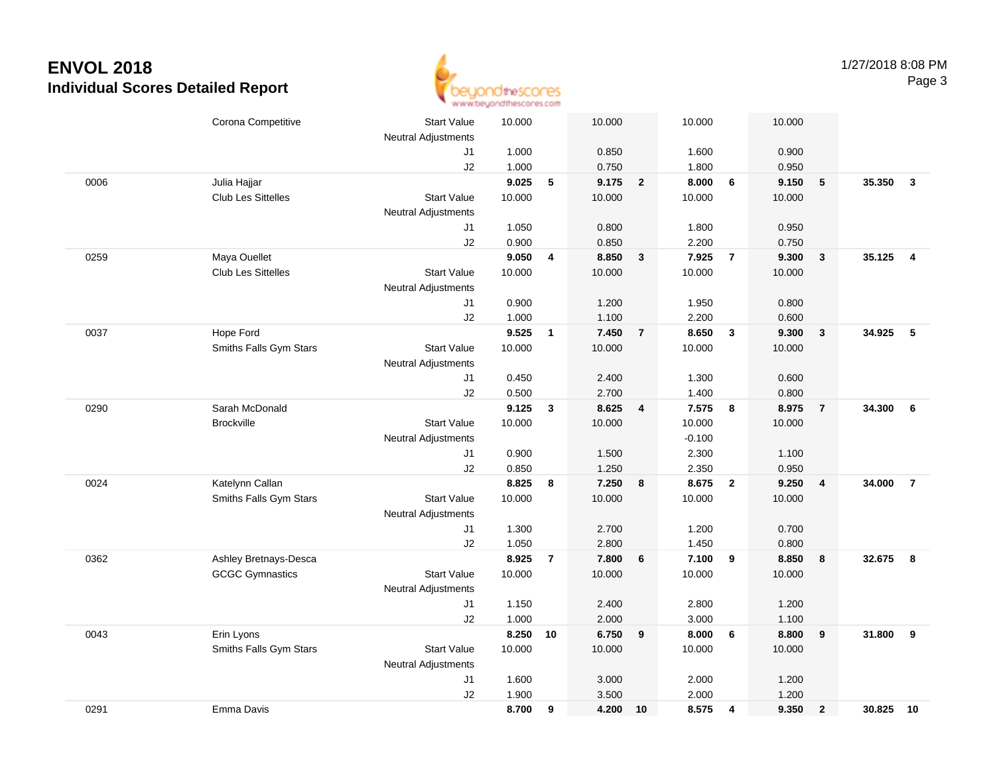

|      | Corona Competitive        | <b>Start Value</b>         | 10.000         |                | 10.000         |                         | 10.000         |                         | 10.000         |                  |           |                         |
|------|---------------------------|----------------------------|----------------|----------------|----------------|-------------------------|----------------|-------------------------|----------------|------------------|-----------|-------------------------|
|      |                           | <b>Neutral Adjustments</b> |                |                |                |                         |                |                         |                |                  |           |                         |
|      |                           | J1                         | 1.000          |                | 0.850          |                         | 1.600          |                         | 0.900          |                  |           |                         |
|      |                           | J2                         | 1.000          |                | 0.750          |                         | 1.800          |                         | 0.950          |                  |           |                         |
| 0006 | Julia Hajjar              |                            | 9.025          | $\sqrt{5}$     | 9.175          | $\overline{\mathbf{2}}$ | 8.000          | $6\phantom{1}6$         | 9.150          | $\sqrt{5}$       | 35.350    | $\overline{\mathbf{3}}$ |
|      | <b>Club Les Sittelles</b> | <b>Start Value</b>         | 10.000         |                | 10.000         |                         | 10.000         |                         | 10.000         |                  |           |                         |
|      |                           | <b>Neutral Adjustments</b> |                |                |                |                         |                |                         |                |                  |           |                         |
|      |                           | J1                         | 1.050          |                | 0.800          |                         | 1.800          |                         | 0.950          |                  |           |                         |
|      |                           | J2                         | 0.900          |                | 0.850          |                         | 2.200          |                         | 0.750          |                  |           |                         |
| 0259 | Maya Ouellet              |                            | 9.050          | 4              | 8.850          | $\mathbf{3}$            | 7.925          | $\overline{7}$          | 9.300          | $\mathbf{3}$     | 35.125    | $\overline{4}$          |
|      | <b>Club Les Sittelles</b> | <b>Start Value</b>         | 10.000         |                | 10.000         |                         | 10.000         |                         | 10.000         |                  |           |                         |
|      |                           | <b>Neutral Adjustments</b> |                |                |                |                         |                |                         |                |                  |           |                         |
|      |                           | J1                         | 0.900          |                | 1.200          |                         | 1.950          |                         | 0.800          |                  |           |                         |
|      |                           | J2                         | 1.000          |                | 1.100          |                         | 2.200          |                         | 0.600          |                  |           |                         |
| 0037 | Hope Ford                 |                            | 9.525          | $\mathbf{1}$   | 7.450          | $\overline{7}$          | 8.650          | $\mathbf{3}$            | 9.300          | $\mathbf{3}$     | 34.925    | $-5$                    |
|      | Smiths Falls Gym Stars    | <b>Start Value</b>         | 10.000         |                | 10.000         |                         | 10.000         |                         | 10.000         |                  |           |                         |
|      |                           | <b>Neutral Adjustments</b> |                |                |                |                         |                |                         |                |                  |           |                         |
|      |                           | J1                         | 0.450          |                | 2.400          |                         | 1.300          |                         | 0.600          |                  |           |                         |
|      |                           | J2                         | 0.500          |                | 2.700          |                         | 1.400          |                         | 0.800          |                  |           |                         |
| 0290 | Sarah McDonald            |                            | 9.125          | $\mathbf{3}$   | 8.625          | $\overline{4}$          | 7.575          | 8                       | 8.975          | $\overline{7}$   | 34.300    | 6                       |
|      | <b>Brockville</b>         | <b>Start Value</b>         | 10.000         |                | 10.000         |                         | 10.000         |                         | 10.000         |                  |           |                         |
|      |                           | <b>Neutral Adjustments</b> |                |                |                |                         | $-0.100$       |                         |                |                  |           |                         |
|      |                           | J1<br>J2                   | 0.900<br>0.850 |                | 1.500<br>1.250 |                         | 2.300<br>2.350 |                         | 1.100<br>0.950 |                  |           |                         |
| 0024 | Katelynn Callan           |                            | 8.825          | 8              | 7.250          | 8                       | 8.675          | $\overline{\mathbf{2}}$ | 9.250          | $\overline{4}$   | 34.000    | $\overline{7}$          |
|      | Smiths Falls Gym Stars    | <b>Start Value</b>         | 10.000         |                | 10.000         |                         | 10.000         |                         | 10.000         |                  |           |                         |
|      |                           | <b>Neutral Adjustments</b> |                |                |                |                         |                |                         |                |                  |           |                         |
|      |                           | J1                         | 1.300          |                | 2.700          |                         | 1.200          |                         | 0.700          |                  |           |                         |
|      |                           | J2                         | 1.050          |                | 2.800          |                         | 1.450          |                         | 0.800          |                  |           |                         |
| 0362 | Ashley Bretnays-Desca     |                            | 8.925          | $\overline{7}$ | 7.800          | 6                       | 7.100          | 9                       | 8.850          | 8                | 32.675 8  |                         |
|      | <b>GCGC Gymnastics</b>    | <b>Start Value</b>         | 10.000         |                | 10.000         |                         | 10.000         |                         | 10.000         |                  |           |                         |
|      |                           | <b>Neutral Adjustments</b> |                |                |                |                         |                |                         |                |                  |           |                         |
|      |                           | J1                         | 1.150          |                | 2.400          |                         | 2.800          |                         | 1.200          |                  |           |                         |
|      |                           | J2                         | 1.000          |                | 2.000          |                         | 3.000          |                         | 1.100          |                  |           |                         |
| 0043 | Erin Lyons                |                            | 8.250          | 10             | 6.750          | 9                       | 8.000          | $6\phantom{1}6$         | 8.800          | $\boldsymbol{9}$ | 31.800    | 9                       |
|      | Smiths Falls Gym Stars    | <b>Start Value</b>         | 10.000         |                | 10.000         |                         | 10.000         |                         | 10.000         |                  |           |                         |
|      |                           | Neutral Adjustments        |                |                |                |                         |                |                         |                |                  |           |                         |
|      |                           | J1                         | 1.600          |                | 3.000          |                         | 2.000          |                         | 1.200          |                  |           |                         |
|      |                           | J2                         | 1.900          |                | 3.500          |                         | 2.000          |                         | 1.200          |                  |           |                         |
| 0291 | Emma Davis                |                            | 8.700          | 9              | 4.200          | 10                      | 8.575          | $\overline{\mathbf{4}}$ | 9.350          | $\overline{2}$   | 30.825 10 |                         |
|      |                           |                            |                |                |                |                         |                |                         |                |                  |           |                         |